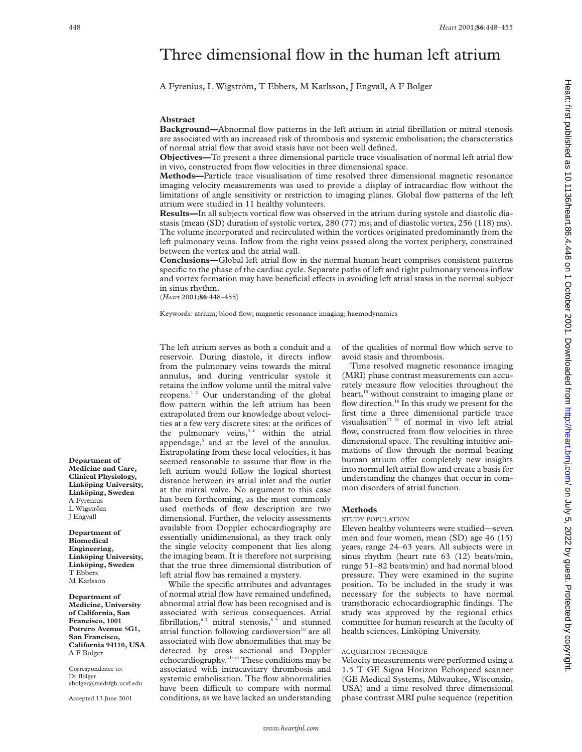# Three dimensional flow in the human left atrium

A Fyrenius, L Wigström, T Ebbers, M Karlsson, J Engvall, A F Bolger

## **Abstract**

**Background—**Abnormal flow patterns in the left atrium in atrial fibrillation or mitral stenosis are associated with an increased risk of thrombosis and systemic embolisation; the characteristics of normal atrial flow that avoid stasis have not been well defined.

**Objectives—**To present a three dimensional particle trace visualisation of normal left atrial flow in vivo, constructed from flow velocities in three dimensional space.

**Methods—**Particle trace visualisation of time resolved three dimensional magnetic resonance imaging velocity measurements was used to provide a display of intracardiac flow without the limitations of angle sensitivity or restriction to imaging planes. Global flow patterns of the left atrium were studied in 11 healthy volunteers.

**Results—**In all subjects vortical flow was observed in the atrium during systole and diastolic diastasis (mean (SD) duration of systolic vortex, 280 (77) ms; and of diastolic vortex, 256 (118) ms). The volume incorporated and recirculated within the vortices originated predominantly from the left pulmonary veins. Inflow from the right veins passed along the vortex periphery, constrained between the vortex and the atrial wall.

**Conclusions—**Global left atrial flow in the normal human heart comprises consistent patterns specific to the phase of the cardiac cycle. Separate paths of left and right pulmonary venous inflow and vortex formation may have beneficial effects in avoiding left atrial stasis in the normal subject in sinus rhythm.

(*Heart* 2001;**86**:448–455)

Keywords: atrium; blood flow; magnetic resonance imaging; haemodynamics

The left atrium serves as both a conduit and a reservoir. During diastole, it directs inflow from the pulmonary veins towards the mitral annulus, and during ventricular systole it retains the inflow volume until the mitral valve reopens.1 2 Our understanding of the global flow pattern within the left atrium has been extrapolated from our knowledge about velocities at a few very discrete sites: at the orifices of the pulmonary veins, $3<sup>4</sup>$  within the atrial appendage,<sup>5</sup> and at the level of the annulus. Extrapolating from these local velocities, it has seemed reasonable to assume that flow in the left atrium would follow the logical shortest distance between its atrial inlet and the outlet at the mitral valve. No argument to this case has been forthcoming, as the most commonly used methods of flow description are two dimensional. Further, the velocity assessments available from Doppler echocardiography are essentially unidimensional, as they track only the single velocity component that lies along the imaging beam. It is therefore not surprising that the true three dimensional distribution of left atrial flow has remained a mystery.

While the specific attributes and advantages of normal atrial flow have remained undefined, abnormal atrial flow has been recognised and is associated with serious consequences. Atrial fibrillation,<sup>67</sup> mitral stenosis,<sup>89</sup> and stunned atrial function following cardioversion $10$  are all associated with flow abnormalities that may be detected by cross sectional and Doppler echocardiography. $11-14}$  These conditions may be associated with intracavitary thrombosis and systemic embolisation. The flow abnormalities have been difficult to compare with normal conditions, as we have lacked an understanding

of the qualities of normal flow which serve to avoid stasis and thrombosis.

Time resolved magnetic resonance imaging (MRI) phase contrast measurements can accurately measure flow velocities throughout the heart,<sup>15</sup> without constraint to imaging plane or flow direction.<sup>16</sup> In this study we present for the first time a three dimensional particle trace visualisation $1718$  of normal in vivo left atrial flow, constructed from flow velocities in three dimensional space. The resulting intuitive animations of flow through the normal beating human atrium offer completely new insights into normal left atrial flow and create a basis for understanding the changes that occur in common disorders of atrial function.

#### **Methods**

#### STUDY POPULATION

Eleven healthy volunteers were studied—seven men and four women, mean (SD) age 46 (15) years, range 24–63 years. All subjects were in sinus rhythm (heart rate 63 (12) beats/min, range 51–82 beats/min) and had normal blood pressure. They were examined in the supine position. To be included in the study it was necessary for the subjects to have normal transthoracic echocardiographic findings. The study was approved by the regional ethics committee for human research at the faculty of health sciences, Linköping University.

## ACQUISITION TECHNIQUE

Velocity measurements were performed using a 1.5 T GE Signa Horizon Echospeed scanner (GE Medical Systems, Milwaukee, Wisconsin, USA) and a time resolved three dimensional phase contrast MRI pulse sequence (repetition

**Department of Medicine and Care, Clinical Physiology, Linköping University, Linköping, Sweden** A Fyrenius L Wigström J Engvall

**Department of Biomedical Engineering, Linköping University, Linköping, Sweden** T Ebbers M Karlsson

**Department of Medicine, University of California, San Francisco, 1001 Potrero Avenue 5G1, San Francisco, California 94110, USA** A F Bolger

Correspondence to: Dr Bolger abolger@medsfgh.ucsf.edu

Accepted 13 June 2001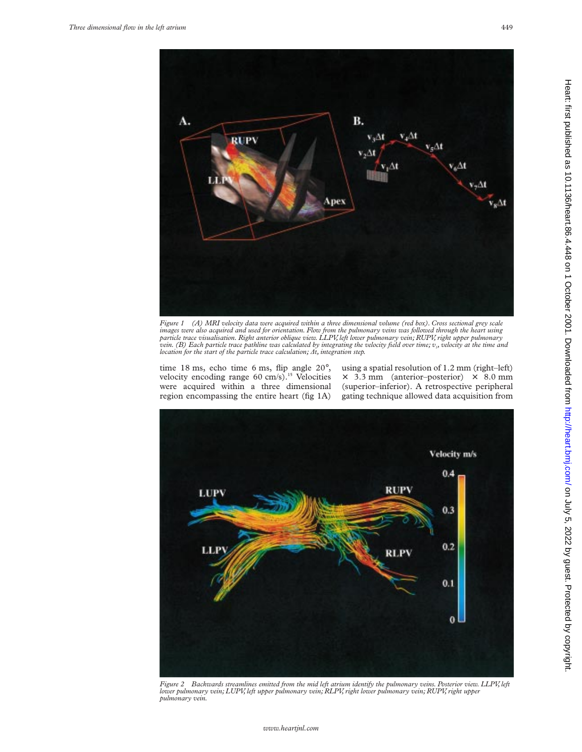

*images were also acquired and used for orientation. Flow from the pulmonary veins was followed through the heart using particle trace visualisation. Right anterior oblique view. LLPV, left lower pulmonary vein; RUPV, right upper pulmonary vein. (B) Each particle trace pathline was calculated by integrating the velocity field over time; v1, velocity at the time and location for the start of the particle trace calculation;* Ä*t, integration step.*

time 18 ms, echo time 6 ms, flip angle 20°, velocity encoding range 60 cm/s).<sup>15</sup> Velocities were acquired within a three dimensional region encompassing the entire heart (fig 1A)

using a spatial resolution of 1.2 mm (right–left)  $\times$  3.3 mm (anterior–posterior)  $\times$  8.0 mm (superior–inferior). A retrospective peripheral gating technique allowed data acquisition from



*Figure 2 Backwards streamlines emitted from the mid left atrium identify the pulmonary veins. Posterior view. LLPV, left lower pulmonary vein; LUPV, left upper pulmonary vein; RLPV, right lower pulmonary vein; RUPV, right upper pulmonary vein.*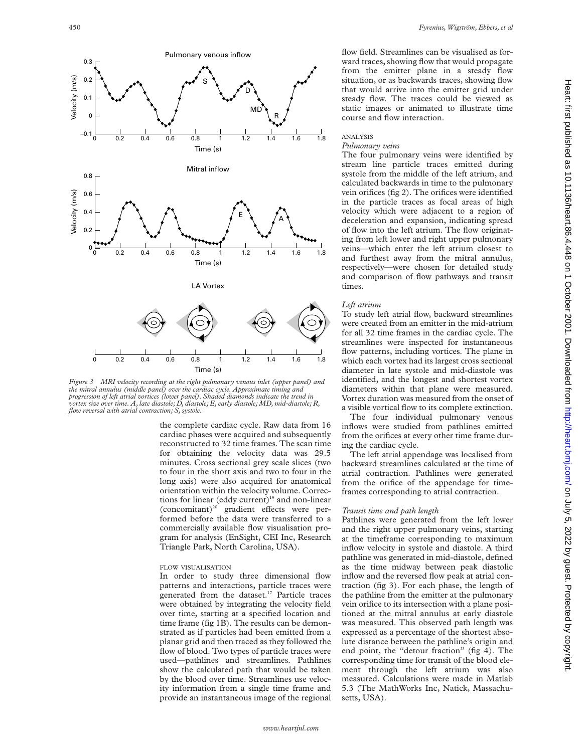

*Figure 3 MRI velocity recording at the right pulmonary venous inlet (upper panel) and the mitral annulus (middle panel) over the cardiac cycle. Approximate timing and progression of left atrial vortices (lower panel). Shaded diamonds indicate the trend in vortex size over time. A, late diastole; D, diastole; E, early diastole; MD, mid-diastole; R, flow reversal with atrial contraction; S, systole.*

the complete cardiac cycle. Raw data from 16 cardiac phases were acquired and subsequently reconstructed to 32 time frames. The scan time for obtaining the velocity data was 29.5 minutes. Cross sectional grey scale slices (two to four in the short axis and two to four in the long axis) were also acquired for anatomical orientation within the velocity volume. Corrections for linear (eddy current)<sup>19</sup> and non-linear  $(concomitant)^{20}$  gradient effects were performed before the data were transferred to a commercially available flow visualisation program for analysis (EnSight, CEI Inc, Research Triangle Park, North Carolina, USA).

## FLOW VISUALISATION

In order to study three dimensional flow patterns and interactions, particle traces were generated from the dataset.<sup>17</sup> Particle traces were obtained by integrating the velocity field over time, starting at a specified location and time frame (fig 1B). The results can be demonstrated as if particles had been emitted from a planar grid and then traced as they followed the flow of blood. Two types of particle traces were used—pathlines and streamlines. Pathlines show the calculated path that would be taken by the blood over time. Streamlines use velocity information from a single time frame and provide an instantaneous image of the regional flow field. Streamlines can be visualised as forward traces, showing flow that would propagate from the emitter plane in a steady flow situation, or as backwards traces, showing flow that would arrive into the emitter grid under steady flow. The traces could be viewed as static images or animated to illustrate time course and flow interaction.

#### ANALYSIS

## *Pulmonary veins*

The four pulmonary veins were identified by stream line particle traces emitted during systole from the middle of the left atrium, and calculated backwards in time to the pulmonary vein orifices (fig 2). The orifices were identified in the particle traces as focal areas of high velocity which were adjacent to a region of deceleration and expansion, indicating spread of flow into the left atrium. The flow originating from left lower and right upper pulmonary veins—which enter the left atrium closest to and furthest away from the mitral annulus, respectively—were chosen for detailed study and comparison of flow pathways and transit times.

## *Left atrium*

To study left atrial flow, backward streamlines were created from an emitter in the mid-atrium for all 32 time frames in the cardiac cycle. The streamlines were inspected for instantaneous flow patterns, including vortices. The plane in which each vortex had its largest cross sectional diameter in late systole and mid-diastole was identified, and the longest and shortest vortex diameters within that plane were measured. Vortex duration was measured from the onset of a visible vortical flow to its complete extinction.

The four individual pulmonary venous inflows were studied from pathlines emitted from the orifices at every other time frame during the cardiac cycle.

The left atrial appendage was localised from backward streamlines calculated at the time of atrial contraction. Pathlines were generated from the orifice of the appendage for timeframes corresponding to atrial contraction.

#### *Transit time and path length*

Pathlines were generated from the left lower and the right upper pulmonary veins, starting at the timeframe corresponding to maximum inflow velocity in systole and diastole. A third pathline was generated in mid-diastole, defined as the time midway between peak diastolic inflow and the reversed flow peak at atrial contraction (fig 3). For each phase, the length of the pathline from the emitter at the pulmonary vein orifice to its intersection with a plane positioned at the mitral annulus at early diastole was measured. This observed path length was expressed as a percentage of the shortest absolute distance between the pathline's origin and end point, the "detour fraction" (fig 4). The corresponding time for transit of the blood element through the left atrium was also measured. Calculations were made in Matlab 5.3 (The MathWorks Inc, Natick, Massachusetts, USA).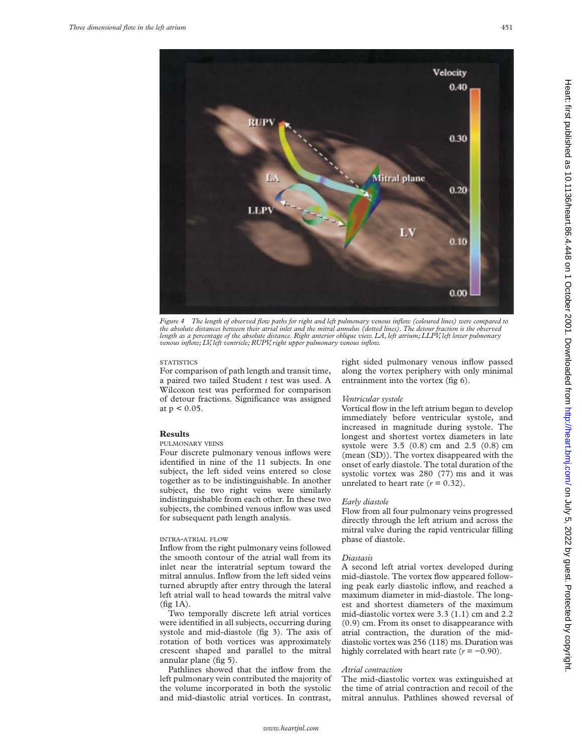

*Figure 4 The length of observed flow paths for right and left pulmonary venous inflow (coloured lines) were compared to the absolute distances between their atrial inlet and the mitral annulus (dotted lines). The detour fraction is the observed length as a percentage of the absolute distance. Right anterior oblique view. LA, left atrium; LLPV, left lower pulmonary venous inflow; LV, left ventricle; RUPV, right upper pulmonary venous inflow.*

**STATISTICS** 

For comparison of path length and transit time, a paired two tailed Student *t* test was used. A Wilcoxon test was performed for comparison of detour fractions. Significance was assigned at  $p < 0.05$ .

### **Results**

## PULMONARY VEINS

Four discrete pulmonary venous inflows were identified in nine of the 11 subjects. In one subject, the left sided veins entered so close together as to be indistinguishable. In another subject, the two right veins were similarly indistinguishable from each other. In these two subjects, the combined venous inflow was used for subsequent path length analysis.

## INTRA-ATRIAL FLOW

Inflow from the right pulmonary veins followed the smooth contour of the atrial wall from its inlet near the interatrial septum toward the mitral annulus. Inflow from the left sided veins turned abruptly after entry through the lateral left atrial wall to head towards the mitral valve (fig 1A).

Two temporally discrete left atrial vortices were identified in all subjects, occurring during systole and mid-diastole (fig 3). The axis of rotation of both vortices was approximately crescent shaped and parallel to the mitral annular plane (fig 5).

Pathlines showed that the inflow from the left pulmonary vein contributed the majority of the volume incorporated in both the systolic and mid-diastolic atrial vortices. In contrast,

right sided pulmonary venous inflow passed along the vortex periphery with only minimal entrainment into the vortex (fig 6).

## *Ventricular systole*

Vortical flow in the left atrium began to develop immediately before ventricular systole, and increased in magnitude during systole. The longest and shortest vortex diameters in late systole were 3.5 (0.8) cm and 2.5 (0.8) cm (mean (SD)). The vortex disappeared with the onset of early diastole. The total duration of the systolic vortex was 280 (77) ms and it was unrelated to heart rate  $(r = 0.32)$ .

## *Early diastole*

Flow from all four pulmonary veins progressed directly through the left atrium and across the mitral valve during the rapid ventricular filling phase of diastole.

#### *Diastasis*

A second left atrial vortex developed during mid-diastole. The vortex flow appeared following peak early diastolic inflow, and reached a maximum diameter in mid-diastole. The longest and shortest diameters of the maximum mid-diastolic vortex were 3.3 (1.1) cm and 2.2 (0.9) cm. From its onset to disappearance with atrial contraction, the duration of the middiastolic vortex was 256 (118) ms. Duration was highly correlated with heart rate  $(r = -0.90)$ .

## *Atrial contraction*

The mid-diastolic vortex was extinguished at the time of atrial contraction and recoil of the mitral annulus. Pathlines showed reversal of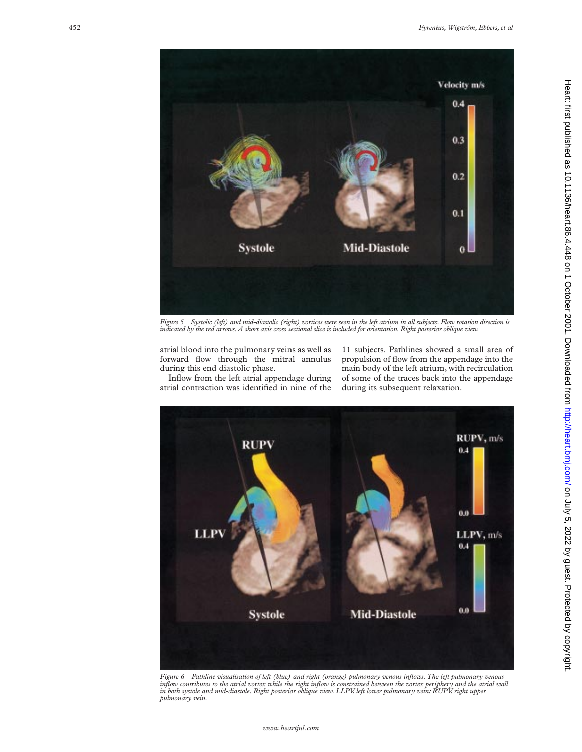

*Figure 5 Systolic (left) and mid-diastolic (right) vortices were seen in the left atrium in all subjects. Flow rotation direction is indicated by the red arrows. A short axis cross sectional slice is included for orientation. Right posterior oblique view.*

atrial blood into the pulmonary veins as well as forward flow through the mitral annulus during this end diastolic phase.

11 subjects. Pathlines showed a small area of propulsion of flow from the appendage into the main body of the left atrium, with recirculation of some of the traces back into the appendage

Inflow from the left atrial appendage during atrial contraction was identified in nine of the during its subsequent relaxation.

RUPV, m/s **RUPV**  $0.4$  $0.0$ **LLPV** LLPV, m/s 0.4  $_{0,0}$ **Systole Mid-Diastole** 

*Figure 6 Pathline visualisation of left (blue) and right (orange) pulmonary venous inflows. The left pulmonary venous inflow contributes to the atrial vortex while the right inflow is constrained between the vortex periphery and the atrial wall in both systole and mid-diastole. Right posterior oblique view. LLPV, left lower pulmonary vein; RUPV, right upper pulmonary vein.*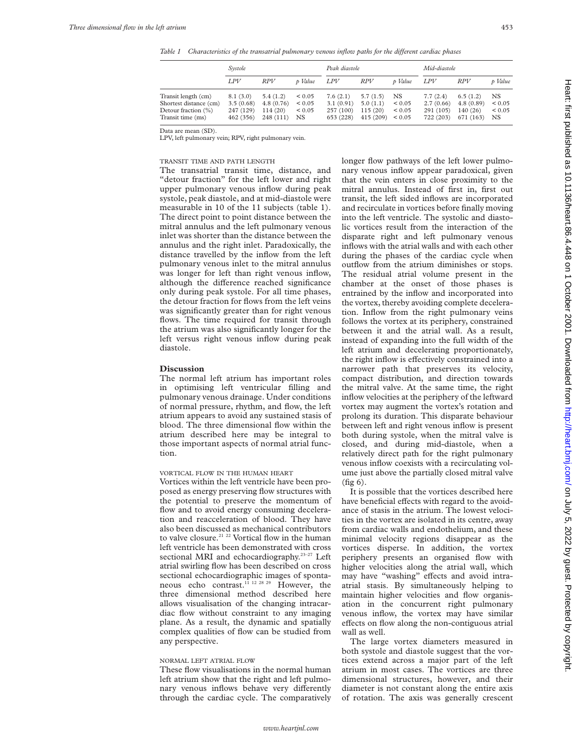*Table 1* Characteristics of the transatrial pulmonary venous inflow paths for the different cardiac phases

|                                                                                           | Systole                                         |                                              |                                                 | Peak diastole                                   |                                             |                                                  | Mid-diastole                                    |                                               |                                         |
|-------------------------------------------------------------------------------------------|-------------------------------------------------|----------------------------------------------|-------------------------------------------------|-------------------------------------------------|---------------------------------------------|--------------------------------------------------|-------------------------------------------------|-----------------------------------------------|-----------------------------------------|
|                                                                                           | LPV                                             | RPV                                          | p Value                                         | LPV                                             | RPV                                         | p Value                                          | <i>LPV</i>                                      | <b>RPV</b>                                    | p Value                                 |
| Transit length (cm)<br>Shortest distance (cm)<br>Detour fraction (%)<br>Transit time (ms) | 8.1(3.0)<br>3.5(0.68)<br>247 (129)<br>462 (356) | 5.4(1.2)<br>4.8(0.76)<br>114(20)<br>248(111) | ${}_{0.05}$<br>${}_{0.05}$<br>${}_{0.05}$<br>NS | 7.6(2.1)<br>3.1(0.91)<br>257 (100)<br>653 (228) | 5.7(1.5)<br>5.0(1.1)<br>115(20)<br>415(209) | NS.<br>${}_{0.05}$<br>${}_{0.05}$<br>${}_{0.05}$ | 7.7(2.4)<br>2.7(0.66)<br>291 (105)<br>722 (203) | 6.5(1.2)<br>4.8(0.89)<br>140(26)<br>671 (163) | NS<br>${}_{0.05}$<br>${}_{0.05}$<br>NS. |

Data are mean (SD).

LPV, left pulmonary vein; RPV, right pulmonary vein.

## TRANSIT TIME AND PATH LENGTH

The transatrial transit time, distance, and "detour fraction" for the left lower and right upper pulmonary venous inflow during peak systole, peak diastole, and at mid-diastole were measurable in 10 of the 11 subjects (table 1). The direct point to point distance between the mitral annulus and the left pulmonary venous inlet was shorter than the distance between the annulus and the right inlet. Paradoxically, the distance travelled by the inflow from the left pulmonary venous inlet to the mitral annulus was longer for left than right venous inflow, although the difference reached significance only during peak systole. For all time phases, the detour fraction for flows from the left veins was significantly greater than for right venous flows. The time required for transit through the atrium was also significantly longer for the left versus right venous inflow during peak diastole.

### **Discussion**

The normal left atrium has important roles in optimising left ventricular filling and pulmonary venous drainage. Under conditions of normal pressure, rhythm, and flow, the left atrium appears to avoid any sustained stasis of blood. The three dimensional flow within the atrium described here may be integral to those important aspects of normal atrial function.

#### VORTICAL FLOW IN THE HUMAN HEART

Vortices within the left ventricle have been proposed as energy preserving flow structures with the potential to preserve the momentum of flow and to avoid energy consuming deceleration and reacceleration of blood. They have also been discussed as mechanical contributors to valve closure.<sup>21</sup> <sup>22</sup> Vortical flow in the human left ventricle has been demonstrated with cross sectional MRI and echocardiography.<sup>23–27</sup> Left atrial swirling flow has been described on cross sectional echocardiographic images of spontaneous echo contrast.11 12 28 29 However, the three dimensional method described here allows visualisation of the changing intracardiac flow without constraint to any imaging plane. As a result, the dynamic and spatially complex qualities of flow can be studied from any perspective.

#### NORMAL LEFT ATRIAL FLOW

These flow visualisations in the normal human left atrium show that the right and left pulmonary venous inflows behave very differently through the cardiac cycle. The comparatively longer flow pathways of the left lower pulmonary venous inflow appear paradoxical, given that the vein enters in close proximity to the mitral annulus. Instead of first in, first out transit, the left sided inflows are incorporated and recirculate in vortices before finally moving into the left ventricle. The systolic and diastolic vortices result from the interaction of the disparate right and left pulmonary venous inflows with the atrial walls and with each other during the phases of the cardiac cycle when outflow from the atrium diminishes or stops. The residual atrial volume present in the chamber at the onset of those phases is entrained by the inflow and incorporated into the vortex, thereby avoiding complete deceleration. Inflow from the right pulmonary veins follows the vortex at its periphery, constrained between it and the atrial wall. As a result, instead of expanding into the full width of the left atrium and decelerating proportionately, the right inflow is effectively constrained into a narrower path that preserves its velocity, compact distribution, and direction towards the mitral valve. At the same time, the right inflow velocities at the periphery of the leftward vortex may augment the vortex's rotation and prolong its duration. This disparate behaviour between left and right venous inflow is present both during systole, when the mitral valve is closed, and during mid-diastole, when a relatively direct path for the right pulmonary venous inflow coexists with a recirculating volume just above the partially closed mitral valve (fig 6).

It is possible that the vortices described here have beneficial effects with regard to the avoidance of stasis in the atrium. The lowest velocities in the vortex are isolated in its centre, away from cardiac walls and endothelium, and these minimal velocity regions disappear as the vortices disperse. In addition, the vortex periphery presents an organised flow with higher velocities along the atrial wall, which may have "washing" effects and avoid intraatrial stasis. By simultaneously helping to maintain higher velocities and flow organisation in the concurrent right pulmonary venous inflow, the vortex may have similar effects on flow along the non-contiguous atrial wall as well.

The large vortex diameters measured in both systole and diastole suggest that the vortices extend across a major part of the left atrium in most cases. The vortices are three dimensional structures, however, and their diameter is not constant along the entire axis of rotation. The axis was generally crescent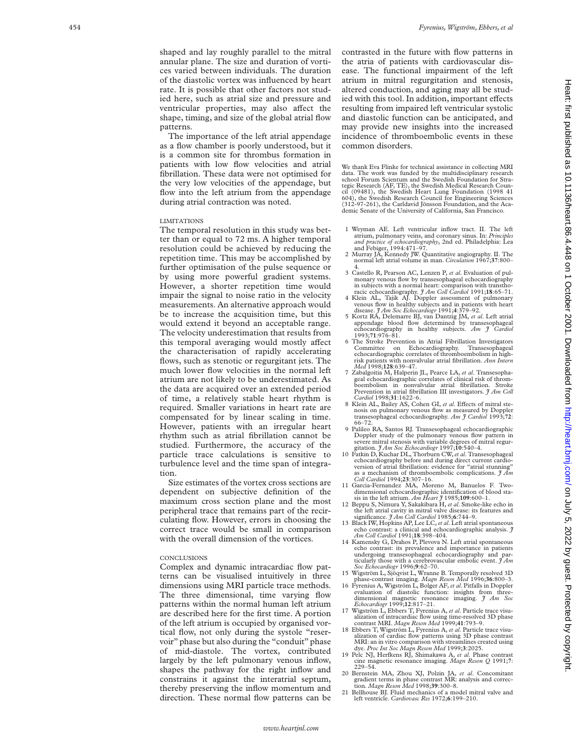shaped and lay roughly parallel to the mitral annular plane. The size and duration of vortices varied between individuals. The duration of the diastolic vortex was influenced by heart rate. It is possible that other factors not studied here, such as atrial size and pressure and ventricular properties, may also affect the shape, timing, and size of the global atrial flow patterns.

The importance of the left atrial appendage as a flow chamber is poorly understood, but it is a common site for thrombus formation in patients with low flow velocities and atrial fibrillation. These data were not optimised for the very low velocities of the appendage, but flow into the left atrium from the appendage during atrial contraction was noted.

#### LIMITATIONS

The temporal resolution in this study was better than or equal to 72 ms. A higher temporal resolution could be achieved by reducing the repetition time. This may be accomplished by further optimisation of the pulse sequence or by using more powerful gradient systems. However, a shorter repetition time would impair the signal to noise ratio in the velocity measurements. An alternative approach would be to increase the acquisition time, but this would extend it beyond an acceptable range. The velocity underestimation that results from this temporal averaging would mostly affect the characterisation of rapidly accelerating flows, such as stenotic or regurgitant jets. The much lower flow velocities in the normal left atrium are not likely to be underestimated. As the data are acquired over an extended period of time, a relatively stable heart rhythm is required. Smaller variations in heart rate are compensated for by linear scaling in time. However, patients with an irregular heart rhythm such as atrial fibrillation cannot be studied. Furthermore, the accuracy of the particle trace calculations is sensitive to turbulence level and the time span of integration.

Size estimates of the vortex cross sections are dependent on subjective definition of the maximum cross section plane and the most peripheral trace that remains part of the recirculating flow. However, errors in choosing the correct trace would be small in comparison with the overall dimension of the vortices.

#### **CONCLUSIONS**

Complex and dynamic intracardiac flow patterns can be visualised intuitively in three dimensions using MRI particle trace methods. The three dimensional, time varying flow patterns within the normal human left atrium are described here for the first time. A portion of the left atrium is occupied by organised vortical flow, not only during the systole "reservoir" phase but also during the "conduit" phase of mid-diastole. The vortex, contributed largely by the left pulmonary venous inflow, shapes the pathway for the right inflow and constrains it against the interatrial septum, thereby preserving the inflow momentum and direction. These normal flow patterns can be contrasted in the future with flow patterns in the atria of patients with cardiovascular disease. The functional impairment of the left atrium in mitral regurgitation and stenosis, altered conduction, and aging may all be studied with this tool. In addition, important effects resulting from impaired left ventricular systolic and diastolic function can be anticipated, and may provide new insights into the increased incidence of thromboembolic events in these common disorders.

We thank Eva Flinke for technical assistance in collecting MRI data. The work was funded by the multidisciplinary research school Forum Scientum and the Swedish Foundation for Strategic Research (AF, TE), the Swedish Medical Research Coun-cil (09481), the Swedish Heart Lung Foundation (1998 41 604), the Swedish Research Council for Engineering Sciences (312-97-261), the Carldavid Jönsson Foundation, and the Academic Senate of the University of California, San Francisco.

- 1 Weyman AE. Left ventricular inflow tract. II. The left atrium, pulmonary veins, and coronary sinus. In: *Principles and practice of echocardiography*, 2nd ed. Philadelphia: Lea and Febiger, 1994:471–97.
- 2 Murray JA, Kennedy JW. Quantitative angiography. II. The normal left atrial volume in man. *Circulation* 1967;**37**:800– 4.
- 3 Castello R, Pearson AC, Lenzen P, *et al*. Evaluation of pulmonary venous flow by transesophageal echocardiography in subjects with a normal heart: comparison with transtho-
- racic echocardiography. *J Am Coll Cardiol* 1991;18:65-71.<br>4 Klein AL, Tajik AJ. Doppler assessment of pulmonary venous flow in healthy subjects and in patients with heart<br>disease. *J Am Soc Echocardiogr* 1991;4:379-92.
- disease. *J Am Soc Echocardiogr* 1991;4:379–92.<br>5 Kortz RA, Delemarre BJ, van Dantzig JM, *et al*. Left atrial<br>appendage blood flow determined by transesophageal echocardiography in healthy subjects. *Am J Cardiol* 1993;**71**:976–81.
- 6 The Stroke Prevention in Atrial Fibrillation Investigators Committee on Echocardiography. Transesophageal echocardiographic correlates of thromboembolism in highrisk patients with nonvalvular atrial fibrillation. *Ann Intern*
- *Med* 1998;**128**:639–47. 7 Zabalgoitia M, Halperin JL, Pearce LA, *et al*. Transesopha-geal echocardiographic correlates of clinical risk of thromboembolism in nonvalvular atrial fibrillation. Stroke Prevention in atrial fibrillation III investigators. *J Am Coll*
- Cardiol 1998;31:1622-6.<br>8 Klein AL, Bailey AS, Cohen GI, *et al*. Effects of mitral stenosis on pulmonary venous flow as measured by Doppler transesophageal echocardiography. *Am J Cardiol* 1993;**72** : 66–72.
- 9 Palileo RA, Santos RJ. Transesophageal echocardiographic Doppler study of the pulmonary venous flow pattern in severe mitral stenosis with variable degrees of mitral regurgitation. *J Am Soc Echocardiogr* 1997;**10**:540–4.
- 10 Fatkin D, Kuchar DL, Thorburn CW,*et al*. Transesophageal echocardiography before and during direct current cardio-version of atrial fibrillation: evidence for "atrial stunning" as a mechanism of thromboembolic complications. *J Am Coll Cardiol* 1994;**23**:307–16.
- 11 Garcia-Fernandez MA, Moreno M, Banuelos F. Twodimensional echocardiographic identification of blood sta-<br>sis in the left atrium. *Am Heart J* 1985;**109**:600–1.<br>12 Beppu S, Nimura Y, Sakakibara H, *et al*. Smoke-like echo in
- the left atrial cavity in mitral valve disease: its features and significance. *J Am Coll Cardiol* 1985; **6**:744–9.
- 13 Black IW, Hopkins AP, Lee LC,*et al*. Left atrial spontaneous echo contrast: a clinical and echocardiographic analysis. *J Am Coll Cardiol* 1991;**18**:398–404.
- 14 Kamensky G, Drahos P, Plevova N. Left atrial spontaneous echo contrast: its prevalence and importance in patients undergoing transesophageal echocardiography and particularly those with a cerebrovascular embolic event. *J Am Soc Echocardiogr* 1996; **9**:62–70.
- 
- 15 Wigström L, Sjöqvist L, Wranne B. Temporally resolved 3D phase-contrast imaging. *Magn Reson Med* 1996;36:800–3.<br>16 Fyrenius A, Wigström L, Bolger AF, *et al.* Pitfalls in Doppler<br>evaluation of diastolic function: insig dimensional magnetic resonance imaging. *J Am Soc Echocardiogr* 1999;**12**:817–21.
- 17 Wigström L, Ebbers T, Fyrenius A, et al. Particle trace visu-<br>alization of intracardiac flow using time-resolved 3D phase<br>contrast MRI. Magn Reson Med 1999;41:793-9.<br>18 Ebbers T, Wigström L, Fyrenius A, et al. Particle
- alization of cardiac flow patterns using 3D phase contrast MRI: an in vitro comparison with streamlines created using
- dye. *Proc Int Soc Magn Reson Med* 1999; **3**:2025. 19 Pelc NJ, Herfkens RJ, Shimakawa A, *et al*. Phase contrast cine magnetic resonance imaging. *Magn Reson Q* 1991; **7** : 229–54.
- 20 Bernstein MA, Zhou XJ, Polzin JA, *et al*. Concomitant gradient terms in phase contrast MR: analysis and correction. *Magn Reson Med* 1998;**39**:300–8.
- 21 Bellhouse BJ. Fluid mechanics of a model mitral valve and left ventricle. *Cardiovasc Res* 1972; **6**:199–210.